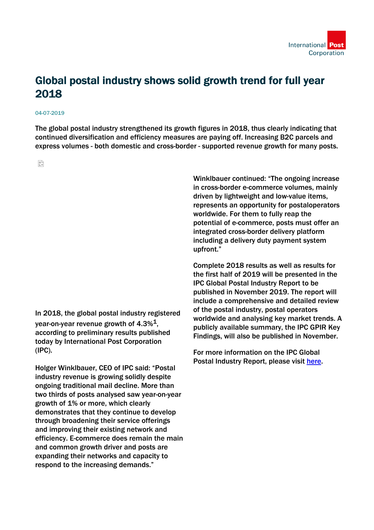

## Global postal industry shows solid growth trend for full year 2018

## 04-07-2019

The global postal industry strengthened its growth figures in 2018, thus clearly indicating that continued diversification and efficiency measures are paying off. Increasing B2C parcels and express volumes - both domestic and cross-border - supported revenue growth for many posts.

읍

In 2018, the global postal industry registered year-on-year revenue growth of  $4.3\%$ <sup>1</sup>. according to preliminary results published today by International Post Corporation (IPC).

Holger Winklbauer, CEO of IPC said: "Postal industry revenue is growing solidly despite ongoing traditional mail decline. More than two thirds of posts analysed saw year-on-year growth of 1% or more, which clearly demonstrates that they continue to develop through broadening their service offerings and improving their existing network and efficiency. E-commerce does remain the main and common growth driver and posts are expanding their networks and capacity to respond to the increasing demands."

Winklbauer continued: "The ongoing increase in cross-border e-commerce volumes, mainly driven by lightweight and low-value items, represents an opportunity for postaloperators worldwide. For them to fully reap the potential of e-commerce, posts must offer an integrated cross-border delivery platform including a delivery duty payment system upfront."

Complete 2018 results as well as results for the first half of 2019 will be presented in the IPC Global Postal Industry Report to be published in November 2019. The report will include a comprehensive and detailed review of the postal industry, postal operators worldwide and analysing key market trends. A publicly available summary, the IPC GPIR Key Findings, will also be published in November.

For more information on the IPC Global Postal Industry Report, please visit [here.](file:///C:/Windows/Temp/ABCpdf/www.ipc.be/en/programmes/market-intelligence/global-postal-industry-report.)